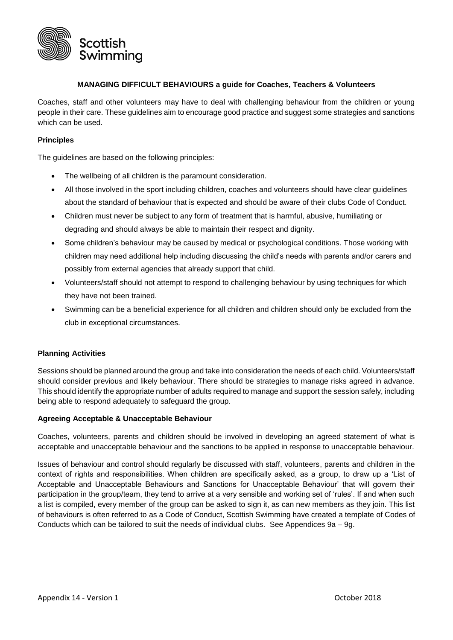

### **MANAGING DIFFICULT BEHAVIOURS a guide for Coaches, Teachers & Volunteers**

Coaches, staff and other volunteers may have to deal with challenging behaviour from the children or young people in their care. These guidelines aim to encourage good practice and suggest some strategies and sanctions which can be used.

#### **Principles**

The quidelines are based on the following principles:

- The wellbeing of all children is the paramount consideration.
- All those involved in the sport including children, coaches and volunteers should have clear guidelines about the standard of behaviour that is expected and should be aware of their clubs Code of Conduct.
- Children must never be subject to any form of treatment that is harmful, abusive, humiliating or degrading and should always be able to maintain their respect and dignity.
- Some children's behaviour may be caused by medical or psychological conditions. Those working with children may need additional help including discussing the child's needs with parents and/or carers and possibly from external agencies that already support that child.
- Volunteers/staff should not attempt to respond to challenging behaviour by using techniques for which they have not been trained.
- Swimming can be a beneficial experience for all children and children should only be excluded from the club in exceptional circumstances.

### **Planning Activities**

Sessions should be planned around the group and take into consideration the needs of each child. Volunteers/staff should consider previous and likely behaviour. There should be strategies to manage risks agreed in advance. This should identify the appropriate number of adults required to manage and support the session safely, including being able to respond adequately to safeguard the group.

### **Agreeing Acceptable & Unacceptable Behaviour**

Coaches, volunteers, parents and children should be involved in developing an agreed statement of what is acceptable and unacceptable behaviour and the sanctions to be applied in response to unacceptable behaviour.

Issues of behaviour and control should regularly be discussed with staff, volunteers, parents and children in the context of rights and responsibilities. When children are specifically asked, as a group, to draw up a 'List of Acceptable and Unacceptable Behaviours and Sanctions for Unacceptable Behaviour' that will govern their participation in the group/team, they tend to arrive at a very sensible and working set of 'rules'. If and when such a list is compiled, every member of the group can be asked to sign it, as can new members as they join. This list of behaviours is often referred to as a Code of Conduct, Scottish Swimming have created a template of Codes of Conducts which can be tailored to suit the needs of individual clubs. See Appendices 9a – 9g.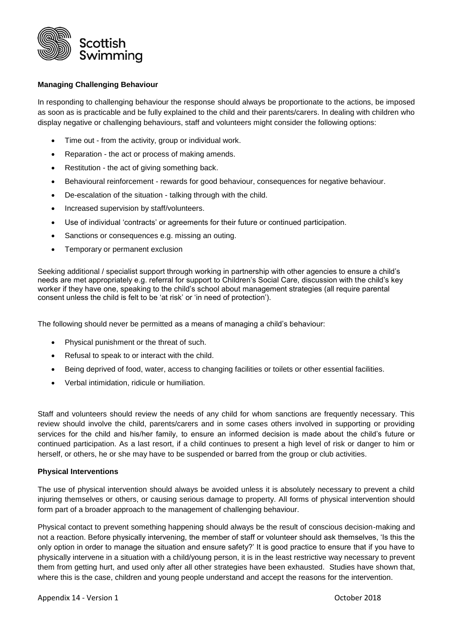

## **Managing Challenging Behaviour**

In responding to challenging behaviour the response should always be proportionate to the actions, be imposed as soon as is practicable and be fully explained to the child and their parents/carers. In dealing with children who display negative or challenging behaviours, staff and volunteers might consider the following options:

- Time out from the activity, group or individual work.
- Reparation the act or process of making amends.
- Restitution the act of giving something back.
- Behavioural reinforcement rewards for good behaviour, consequences for negative behaviour.
- De-escalation of the situation talking through with the child.
- Increased supervision by staff/volunteers.
- Use of individual 'contracts' or agreements for their future or continued participation.
- Sanctions or consequences e.g. missing an outing.
- Temporary or permanent exclusion

Seeking additional / specialist support through working in partnership with other agencies to ensure a child's needs are met appropriately e.g. referral for support to Children's Social Care, discussion with the child's key worker if they have one, speaking to the child's school about management strategies (all require parental consent unless the child is felt to be 'at risk' or 'in need of protection').

The following should never be permitted as a means of managing a child's behaviour:

- Physical punishment or the threat of such.
- Refusal to speak to or interact with the child.
- Being deprived of food, water, access to changing facilities or toilets or other essential facilities.
- Verbal intimidation, ridicule or humiliation.

Staff and volunteers should review the needs of any child for whom sanctions are frequently necessary. This review should involve the child, parents/carers and in some cases others involved in supporting or providing services for the child and his/her family, to ensure an informed decision is made about the child's future or continued participation. As a last resort, if a child continues to present a high level of risk or danger to him or herself, or others, he or she may have to be suspended or barred from the group or club activities.

### **Physical Interventions**

The use of physical intervention should always be avoided unless it is absolutely necessary to prevent a child injuring themselves or others, or causing serious damage to property. All forms of physical intervention should form part of a broader approach to the management of challenging behaviour.

Physical contact to prevent something happening should always be the result of conscious decision-making and not a reaction. Before physically intervening, the member of staff or volunteer should ask themselves, 'Is this the only option in order to manage the situation and ensure safety?' It is good practice to ensure that if you have to physically intervene in a situation with a child/young person, it is in the least restrictive way necessary to prevent them from getting hurt, and used only after all other strategies have been exhausted. Studies have shown that, where this is the case, children and young people understand and accept the reasons for the intervention.